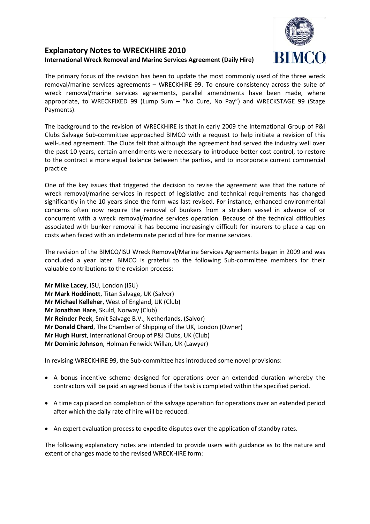# **Explanatory Notes to WRECKHIRE 2010 International Wreck Removal and Marine Services Agreement (Daily Hire)**

The primary focus of the revision has been to update the most commonly used of the three wreck removal/marine services agreements – WRECKHIRE 99. To ensure consistency across the suite of wreck removal/marine services agreements, parallel amendments have been made, where appropriate, to WRECKFIXED 99 (Lump Sum – "No Cure, No Pay") and WRECKSTAGE 99 (Stage Payments).

The background to the revision of WRECKHIRE is that in early 2009 the International Group of P&I Clubs Salvage Sub-committee approached BIMCO with a request to help initiate a revision of this well-used agreement. The Clubs felt that although the agreement had served the industry well over the past 10 years, certain amendments were necessary to introduce better cost control, to restore to the contract a more equal balance between the parties, and to incorporate current commercial practice

One of the key issues that triggered the decision to revise the agreement was that the nature of wreck removal/marine services in respect of legislative and technical requirements has changed significantly in the 10 years since the form was last revised. For instance, enhanced environmental concerns often now require the removal of bunkers from a stricken vessel in advance of or concurrent with a wreck removal/marine services operation. Because of the technical difficulties associated with bunker removal it has become increasingly difficult for insurers to place a cap on costs when faced with an indeterminate period of hire for marine services.

The revision of the BIMCO/ISU Wreck Removal/Marine Services Agreements began in 2009 and was concluded a year later. BIMCO is grateful to the following Sub-committee members for their valuable contributions to the revision process:

**Mr Mike Lacey**, ISU, London (ISU) **Mr Mark Hoddinott**, Titan Salvage, UK (Salvor) **Mr Michael Kelleher**, West of England, UK (Club) **Mr Jonathan Hare**, Skuld, Norway (Club) **Mr Reinder Peek**, Smit Salvage B.V., Netherlands, (Salvor) **Mr Donald Chard**, The Chamber of Shipping of the UK, London (Owner) **Mr Hugh Hurst**, International Group of P&I Clubs, UK (Club) **Mr Dominic Johnson**, Holman Fenwick Willan, UK (Lawyer)

In revising WRECKHIRE 99, the Sub-committee has introduced some novel provisions:

- A bonus incentive scheme designed for operations over an extended duration whereby the contractors will be paid an agreed bonus if the task is completed within the specified period.
- A time cap placed on completion of the salvage operation for operations over an extended period after which the daily rate of hire will be reduced.
- An expert evaluation process to expedite disputes over the application of standby rates.

The following explanatory notes are intended to provide users with guidance as to the nature and extent of changes made to the revised WRECKHIRE form: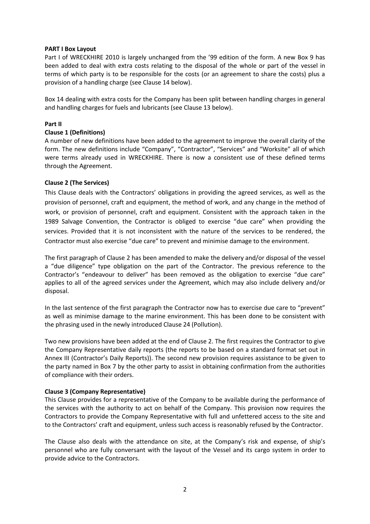## **PART I Box Layout**

Part I of WRECKHIRE 2010 is largely unchanged from the '99 edition of the form. A new Box 9 has been added to deal with extra costs relating to the disposal of the whole or part of the vessel in terms of which party is to be responsible for the costs (or an agreement to share the costs) plus a provision of a handling charge (see Clause 14 below).

Box 14 dealing with extra costs for the Company has been split between handling charges in general and handling charges for fuels and lubricants (see Clause 13 below).

## **Part II**

### **Clause 1 (Definitions)**

A number of new definitions have been added to the agreement to improve the overall clarity of the form. The new definitions include "Company", "Contractor", "Services" and "Worksite" all of which were terms already used in WRECKHIRE. There is now a consistent use of these defined terms through the Agreement.

## **Clause 2 (The Services)**

This Clause deals with the Contractors' obligations in providing the agreed services, as well as the provision of personnel, craft and equipment, the method of work, and any change in the method of work, or provision of personnel, craft and equipment. Consistent with the approach taken in the 1989 Salvage Convention, the Contractor is obliged to exercise "due care" when providing the services. Provided that it is not inconsistent with the nature of the services to be rendered, the Contractor must also exercise "due care" to prevent and minimise damage to the environment.

The first paragraph of Clause 2 has been amended to make the delivery and/or disposal of the vessel a "due diligence" type obligation on the part of the Contractor. The previous reference to the Contractor's "endeavour to deliver" has been removed as the obligation to exercise "due care" applies to all of the agreed services under the Agreement, which may also include delivery and/or disposal.

In the last sentence of the first paragraph the Contractor now has to exercise due care to "prevent" as well as minimise damage to the marine environment. This has been done to be consistent with the phrasing used in the newly introduced Clause 24 (Pollution).

Two new provisions have been added at the end of Clause 2. The first requires the Contractor to give the Company Representative daily reports (the reports to be based on a standard format set out in Annex III (Contractor's Daily Reports)). The second new provision requires assistance to be given to the party named in Box 7 by the other party to assist in obtaining confirmation from the authorities of compliance with their orders.

#### **Clause 3 (Company Representative)**

This Clause provides for a representative of the Company to be available during the performance of the services with the authority to act on behalf of the Company. This provision now requires the Contractors to provide the Company Representative with full and unfettered access to the site and to the Contractors' craft and equipment, unless such access is reasonably refused by the Contractor.

The Clause also deals with the attendance on site, at the Company's risk and expense, of ship's personnel who are fully conversant with the layout of the Vessel and its cargo system in order to provide advice to the Contractors.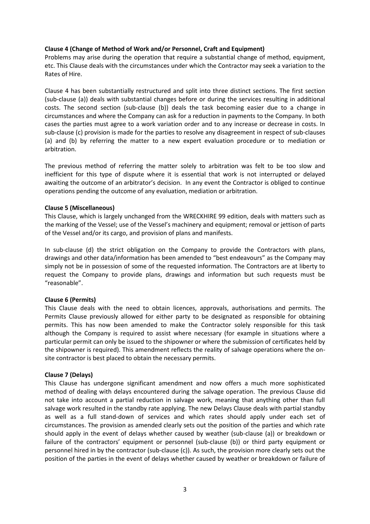# **Clause 4 (Change of Method of Work and/or Personnel, Craft and Equipment)**

Problems may arise during the operation that require a substantial change of method, equipment, etc. This Clause deals with the circumstances under which the Contractor may seek a variation to the Rates of Hire.

Clause 4 has been substantially restructured and split into three distinct sections. The first section (sub-clause (a)) deals with substantial changes before or during the services resulting in additional costs. The second section (sub-clause (b)) deals the task becoming easier due to a change in circumstances and where the Company can ask for a reduction in payments to the Company. In both cases the parties must agree to a work variation order and to any increase or decrease in costs. In sub-clause (c) provision is made for the parties to resolve any disagreement in respect of sub-clauses (a) and (b) by referring the matter to a new expert evaluation procedure or to mediation or arbitration.

The previous method of referring the matter solely to arbitration was felt to be too slow and inefficient for this type of dispute where it is essential that work is not interrupted or delayed awaiting the outcome of an arbitrator's decision. In any event the Contractor is obliged to continue operations pending the outcome of any evaluation, mediation or arbitration.

## **Clause 5 (Miscellaneous)**

This Clause, which is largely unchanged from the WRECKHIRE 99 edition, deals with matters such as the marking of the Vessel; use of the Vessel's machinery and equipment; removal or jettison of parts of the Vessel and/or its cargo, and provision of plans and manifests.

In sub-clause (d) the strict obligation on the Company to provide the Contractors with plans, drawings and other data/information has been amended to "best endeavours" as the Company may simply not be in possession of some of the requested information. The Contractors are at liberty to request the Company to provide plans, drawings and information but such requests must be "reasonable".

## **Clause 6 (Permits)**

This Clause deals with the need to obtain licences, approvals, authorisations and permits. The Permits Clause previously allowed for either party to be designated as responsible for obtaining permits. This has now been amended to make the Contractor solely responsible for this task although the Company is required to assist where necessary (for example in situations where a particular permit can only be issued to the shipowner or where the submission of certificates held by the shipowner is required). This amendment reflects the reality of salvage operations where the onsite contractor is best placed to obtain the necessary permits.

## **Clause 7 (Delays)**

This Clause has undergone significant amendment and now offers a much more sophisticated method of dealing with delays encountered during the salvage operation. The previous Clause did not take into account a partial reduction in salvage work, meaning that anything other than full salvage work resulted in the standby rate applying. The new Delays Clause deals with partial standby as well as a full stand-down of services and which rates should apply under each set of circumstances. The provision as amended clearly sets out the position of the parties and which rate should apply in the event of delays whether caused by weather (sub-clause (a)) or breakdown or failure of the contractors' equipment or personnel (sub-clause (b)) or third party equipment or personnel hired in by the contractor (sub-clause (c)). As such, the provision more clearly sets out the position of the parties in the event of delays whether caused by weather or breakdown or failure of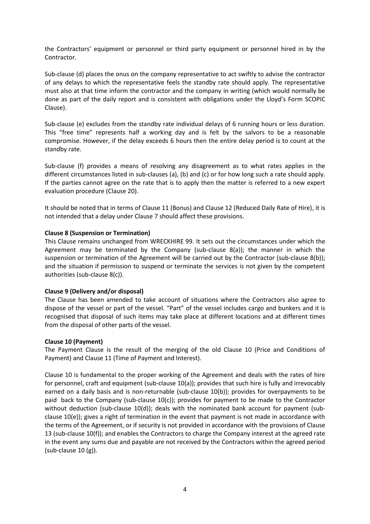the Contractors' equipment or personnel or third party equipment or personnel hired in by the Contractor.

Sub-clause (d) places the onus on the company representative to act swiftly to advise the contractor of any delays to which the representative feels the standby rate should apply. The representative must also at that time inform the contractor and the company in writing (which would normally be done as part of the daily report and is consistent with obligations under the Lloyd's Form SCOPIC Clause).

Sub-clause (e) excludes from the standby rate individual delays of 6 running hours or less duration. This "free time" represents half a working day and is felt by the salvors to be a reasonable compromise. However, if the delay exceeds 6 hours then the entire delay period is to count at the standby rate.

Sub-clause (f) provides a means of resolving any disagreement as to what rates applies in the different circumstances listed in sub-clauses (a), (b) and (c) or for how long such a rate should apply. If the parties cannot agree on the rate that is to apply then the matter is referred to a new expert evaluation procedure (Clause 20).

It should be noted that in terms of Clause 11 (Bonus) and Clause 12 (Reduced Daily Rate of Hire), it is not intended that a delay under Clause 7 should affect these provisions.

## **Clause 8 (Suspension or Termination)**

This Clause remains unchanged from WRECKHIRE 99. It sets out the circumstances under which the Agreement may be terminated by the Company (sub-clause  $8(a)$ ); the manner in which the suspension or termination of the Agreement will be carried out by the Contractor (sub-clause 8(b)); and the situation if permission to suspend or terminate the services is not given by the competent authorities (sub-clause 8(c)).

## **Clause 9 (Delivery and/or disposal)**

The Clause has been amended to take account of situations where the Contractors also agree to dispose of the vessel or part of the vessel. "Part" of the vessel includes cargo and bunkers and it is recognised that disposal of such items may take place at different locations and at different times from the disposal of other parts of the vessel.

## **Clause 10 (Payment)**

The Payment Clause is the result of the merging of the old Clause 10 (Price and Conditions of Payment) and Clause 11 (Time of Payment and Interest).

Clause 10 is fundamental to the proper working of the Agreement and deals with the rates of hire for personnel, craft and equipment (sub-clause 10(a)); provides that such hire is fully and irrevocably earned on a daily basis and is non-returnable (sub-clause 10(b)); provides for overpayments to be paid back to the Company (sub-clause 10(c)); provides for payment to be made to the Contractor without deduction (sub-clause  $10(d)$ ); deals with the nominated bank account for payment (subclause  $10(e)$ ); gives a right of termination in the event that payment is not made in accordance with the terms of the Agreement, or if security is not provided in accordance with the provisions of Clause 13 (sub-clause 10(f)); and enables the Contractors to charge the Company interest at the agreed rate in the event any sums due and payable are not received by the Contractors within the agreed period (sub-clause 10 (g)).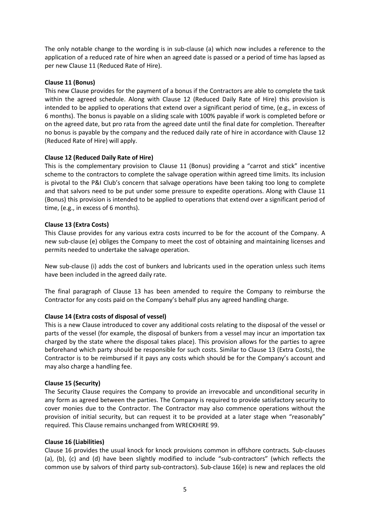The only notable change to the wording is in sub-clause (a) which now includes a reference to the application of a reduced rate of hire when an agreed date is passed or a period of time has lapsed as per new Clause 11 (Reduced Rate of Hire).

# **Clause 11 (Bonus)**

This new Clause provides for the payment of a bonus if the Contractors are able to complete the task within the agreed schedule. Along with Clause 12 (Reduced Daily Rate of Hire) this provision is intended to be applied to operations that extend over a significant period of time, (e.g., in excess of 6 months). The bonus is payable on a sliding scale with 100% payable if work is completed before or on the agreed date, but pro rata from the agreed date until the final date for completion. Thereafter no bonus is payable by the company and the reduced daily rate of hire in accordance with Clause 12 (Reduced Rate of Hire) will apply.

# **Clause 12 (Reduced Daily Rate of Hire)**

This is the complementary provision to Clause 11 (Bonus) providing a "carrot and stick" incentive scheme to the contractors to complete the salvage operation within agreed time limits. Its inclusion is pivotal to the P&I Club's concern that salvage operations have been taking too long to complete and that salvors need to be put under some pressure to expedite operations. Along with Clause 11 (Bonus) this provision is intended to be applied to operations that extend over a significant period of time, (e.g., in excess of 6 months).

# **Clause 13 (Extra Costs)**

This Clause provides for any various extra costs incurred to be for the account of the Company. A new sub-clause (e) obliges the Company to meet the cost of obtaining and maintaining licenses and permits needed to undertake the salvage operation.

New sub-clause (i) adds the cost of bunkers and lubricants used in the operation unless such items have been included in the agreed daily rate.

The final paragraph of Clause 13 has been amended to require the Company to reimburse the Contractor for any costs paid on the Company's behalf plus any agreed handling charge.

# **Clause 14 (Extra costs of disposal of vessel)**

This is a new Clause introduced to cover any additional costs relating to the disposal of the vessel or parts of the vessel (for example, the disposal of bunkers from a vessel may incur an importation tax charged by the state where the disposal takes place). This provision allows for the parties to agree beforehand which party should be responsible for such costs. Similar to Clause 13 (Extra Costs), the Contractor is to be reimbursed if it pays any costs which should be for the Company's account and may also charge a handling fee.

## **Clause 15 (Security)**

The Security Clause requires the Company to provide an irrevocable and unconditional security in any form as agreed between the parties. The Company is required to provide satisfactory security to cover monies due to the Contractor. The Contractor may also commence operations without the provision of initial security, but can request it to be provided at a later stage when "reasonably" required. This Clause remains unchanged from WRECKHIRE 99.

## **Clause 16 (Liabilities)**

Clause 16 provides the usual knock for knock provisions common in offshore contracts. Sub-clauses (a), (b), (c) and (d) have been slightly modified to include "sub-contractors" (which reflects the common use by salvors of third party sub-contractors). Sub-clause 16(e) is new and replaces the old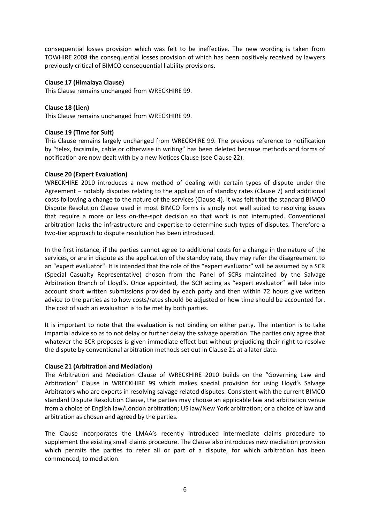consequential losses provision which was felt to be ineffective. The new wording is taken from TOWHIRE 2008 the consequential losses provision of which has been positively received by lawyers previously critical of BIMCO consequential liability provisions.

# **Clause 17 (Himalaya Clause)**

This Clause remains unchanged from WRECKHIRE 99.

# **Clause 18 (Lien)**

This Clause remains unchanged from WRECKHIRE 99.

# **Clause 19 (Time for Suit)**

This Clause remains largely unchanged from WRECKHIRE 99. The previous reference to notification by "telex, facsimile, cable or otherwise in writing" has been deleted because methods and forms of notification are now dealt with by a new Notices Clause (see Clause 22).

# **Clause 20 (Expert Evaluation)**

WRECKHIRE 2010 introduces a new method of dealing with certain types of dispute under the Agreement – notably disputes relating to the application of standby rates (Clause 7) and additional costs following a change to the nature of the services (Clause 4). It was felt that the standard BIMCO Dispute Resolution Clause used in most BIMCO forms is simply not well suited to resolving issues that require a more or less on-the-spot decision so that work is not interrupted. Conventional arbitration lacks the infrastructure and expertise to determine such types of disputes. Therefore a two-tier approach to dispute resolution has been introduced.

In the first instance, if the parties cannot agree to additional costs for a change in the nature of the services, or are in dispute as the application of the standby rate, they may refer the disagreement to an "expert evaluator". It is intended that the role of the "expert evaluator" will be assumed by a SCR (Special Casualty Representative) chosen from the Panel of SCRs maintained by the Salvage Arbitration Branch of Lloyd's. Once appointed, the SCR acting as "expert evaluator" will take into account short written submissions provided by each party and then within 72 hours give written advice to the parties as to how costs/rates should be adjusted or how time should be accounted for. The cost of such an evaluation is to be met by both parties.

It is important to note that the evaluation is not binding on either party. The intention is to take impartial advice so as to not delay or further delay the salvage operation. The parties only agree that whatever the SCR proposes is given immediate effect but without prejudicing their right to resolve the dispute by conventional arbitration methods set out in Clause 21 at a later date.

## **Clause 21 (Arbitration and Mediation)**

The Arbitration and Mediation Clause of WRECKHIRE 2010 builds on the "Governing Law and Arbitration" Clause in WRECKHIRE 99 which makes special provision for using Lloyd's Salvage Arbitrators who are experts in resolving salvage related disputes. Consistent with the current BIMCO standard Dispute Resolution Clause, the parties may choose an applicable law and arbitration venue from a choice of English law/London arbitration; US law/New York arbitration; or a choice of law and arbitration as chosen and agreed by the parties.

The Clause incorporates the LMAA's recently introduced intermediate claims procedure to supplement the existing small claims procedure. The Clause also introduces new mediation provision which permits the parties to refer all or part of a dispute, for which arbitration has been commenced, to mediation.